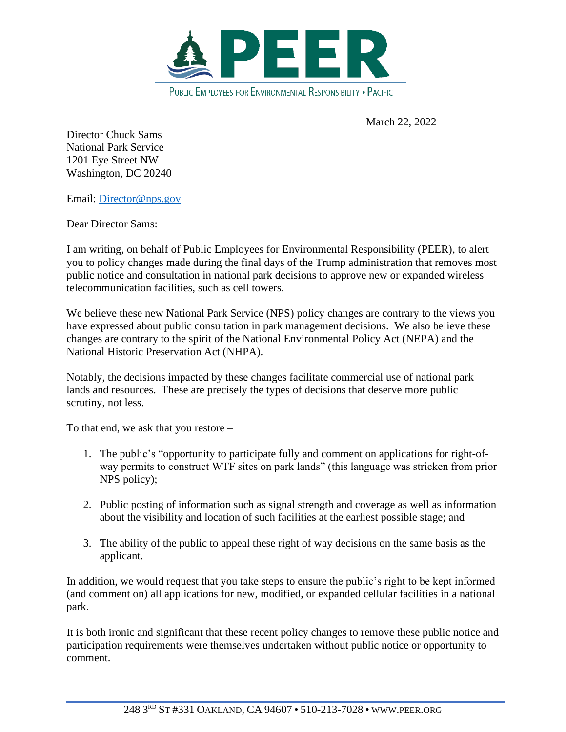

March 22, 2022

Director Chuck Sams National Park Service 1201 Eye Street NW Washington, DC 20240

Email: [Director@nps.gov](mailto:Director@nps.gov)

Dear Director Sams:

I am writing, on behalf of Public Employees for Environmental Responsibility (PEER), to alert you to policy changes made during the final days of the Trump administration that removes most public notice and consultation in national park decisions to approve new or expanded wireless telecommunication facilities, such as cell towers.

We believe these new National Park Service (NPS) policy changes are contrary to the views you have expressed about public consultation in park management decisions. We also believe these changes are contrary to the spirit of the National Environmental Policy Act (NEPA) and the National Historic Preservation Act (NHPA).

Notably, the decisions impacted by these changes facilitate commercial use of national park lands and resources. These are precisely the types of decisions that deserve more public scrutiny, not less.

To that end, we ask that you restore –

- 1. The public's "opportunity to participate fully and comment on applications for right-ofway permits to construct WTF sites on park lands" (this language was stricken from prior NPS policy);
- 2. Public posting of information such as signal strength and coverage as well as information about the visibility and location of such facilities at the earliest possible stage; and
- 3. The ability of the public to appeal these right of way decisions on the same basis as the applicant.

In addition, we would request that you take steps to ensure the public's right to be kept informed (and comment on) all applications for new, modified, or expanded cellular facilities in a national park.

It is both ironic and significant that these recent policy changes to remove these public notice and participation requirements were themselves undertaken without public notice or opportunity to comment.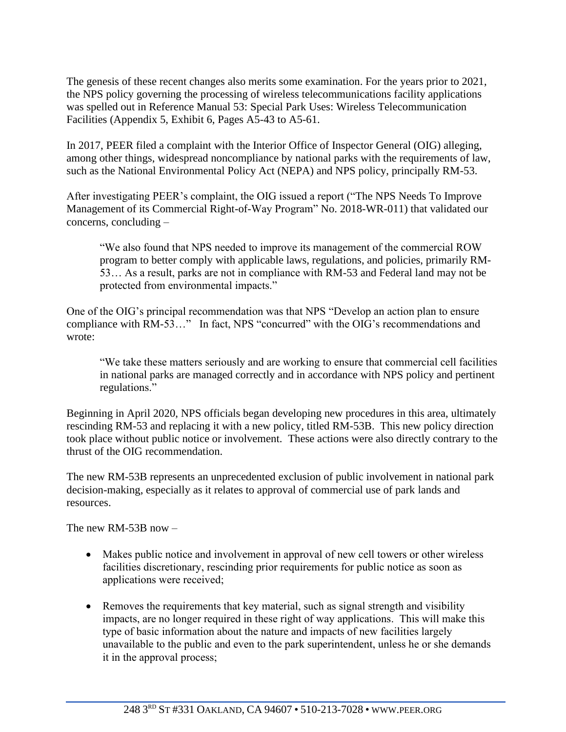The genesis of these recent changes also merits some examination. For the years prior to 2021, the NPS policy governing the processing of wireless telecommunications facility applications was spelled out in Reference Manual 53: Special Park Uses: Wireless Telecommunication Facilities (Appendix 5, Exhibit 6, Pages A5-43 to A5-61.

In 2017, PEER filed a complaint with the Interior Office of Inspector General (OIG) alleging, among other things, widespread noncompliance by national parks with the requirements of law, such as the National Environmental Policy Act (NEPA) and NPS policy, principally RM-53.

After investigating PEER's complaint, the OIG issued a report ("The NPS Needs To Improve Management of its Commercial Right-of-Way Program" No. 2018-WR-011) that validated our concerns, concluding –

"We also found that NPS needed to improve its management of the commercial ROW program to better comply with applicable laws, regulations, and policies, primarily RM-53… As a result, parks are not in compliance with RM-53 and Federal land may not be protected from environmental impacts."

One of the OIG's principal recommendation was that NPS "Develop an action plan to ensure compliance with RM-53…" In fact, NPS "concurred" with the OIG's recommendations and wrote:

"We take these matters seriously and are working to ensure that commercial cell facilities in national parks are managed correctly and in accordance with NPS policy and pertinent regulations."

Beginning in April 2020, NPS officials began developing new procedures in this area, ultimately rescinding RM-53 and replacing it with a new policy, titled RM-53B. This new policy direction took place without public notice or involvement. These actions were also directly contrary to the thrust of the OIG recommendation.

The new RM-53B represents an unprecedented exclusion of public involvement in national park decision-making, especially as it relates to approval of commercial use of park lands and resources.

The new RM-53B now –

- Makes public notice and involvement in approval of new cell towers or other wireless facilities discretionary, rescinding prior requirements for public notice as soon as applications were received;
- Removes the requirements that key material, such as signal strength and visibility impacts, are no longer required in these right of way applications. This will make this type of basic information about the nature and impacts of new facilities largely unavailable to the public and even to the park superintendent, unless he or she demands it in the approval process;